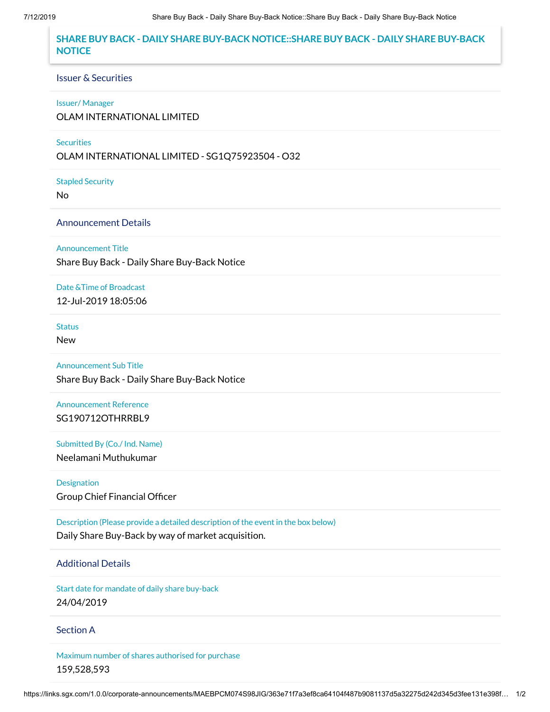# **SHARE BUY BACK - DAILY SHARE BUY-BACK NOTICE::SHARE BUY BACK - DAILY SHARE BUY-BACK NOTICE**

#### Issuer & Securities

#### Issuer/ Manager

OLAM INTERNATIONAL LIMITED

### **Securities**

OLAM INTERNATIONAL LIMITED - SG1Q75923504 - O32

Stapled Security

No

## Announcement Details

Announcement Title

Share Buy Back - Daily Share Buy-Back Notice

Date &Time of Broadcast

12-Jul-2019 18:05:06

# **Status**

New

Announcement Sub Title Share Buy Back - Daily Share Buy-Back Notice

Announcement Reference SG190712OTHRRBL9

Submitted By (Co./ Ind. Name) Neelamani Muthukumar

Designation Group Chief Financial Officer

Description (Please provide a detailed description of the event in the box below) Daily Share Buy-Back by way of market acquisition.

# Additional Details

Start date for mandate of daily share buy-back 24/04/2019

## Section A

Maximum number of shares authorised for purchase 159,528,593